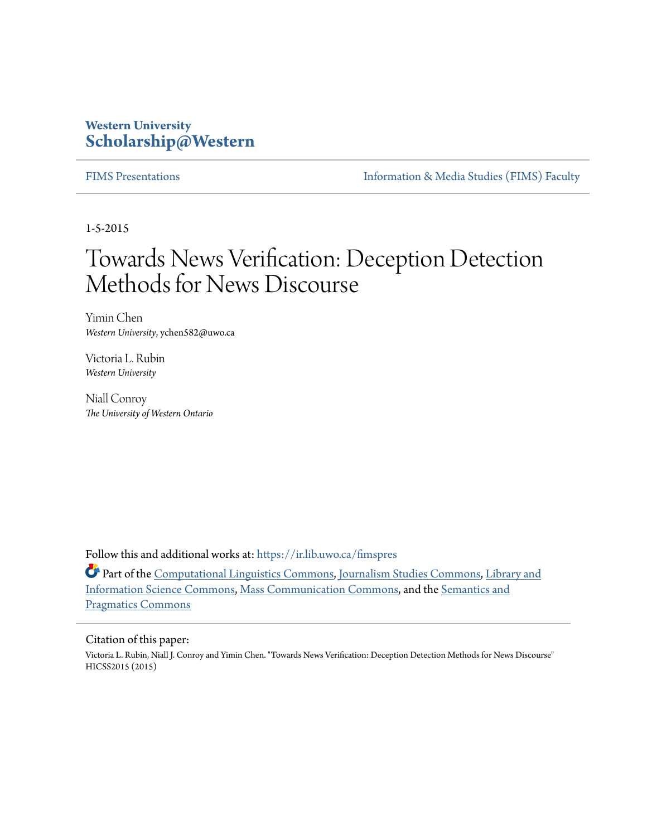### **Western University [Scholarship@Western](https://ir.lib.uwo.ca?utm_source=ir.lib.uwo.ca%2Ffimspres%2F46&utm_medium=PDF&utm_campaign=PDFCoverPages)**

[FIMS Presentations](https://ir.lib.uwo.ca/fimspres?utm_source=ir.lib.uwo.ca%2Ffimspres%2F46&utm_medium=PDF&utm_campaign=PDFCoverPages) [Information & Media Studies \(FIMS\) Faculty](https://ir.lib.uwo.ca/fims?utm_source=ir.lib.uwo.ca%2Ffimspres%2F46&utm_medium=PDF&utm_campaign=PDFCoverPages)

1-5-2015

# Towards News Verification: Deception Detection Methods for News Discourse

Yimin Chen *Western University*, ychen582@uwo.ca

Victoria L. Rubin *Western University*

Niall Conroy *The University of Western Ontario*

Follow this and additional works at: [https://ir.lib.uwo.ca/fimspres](https://ir.lib.uwo.ca/fimspres?utm_source=ir.lib.uwo.ca%2Ffimspres%2F46&utm_medium=PDF&utm_campaign=PDFCoverPages)

Part of the [Computational Linguistics Commons,](http://network.bepress.com/hgg/discipline/375?utm_source=ir.lib.uwo.ca%2Ffimspres%2F46&utm_medium=PDF&utm_campaign=PDFCoverPages) [Journalism Studies Commons,](http://network.bepress.com/hgg/discipline/333?utm_source=ir.lib.uwo.ca%2Ffimspres%2F46&utm_medium=PDF&utm_campaign=PDFCoverPages) [Library and](http://network.bepress.com/hgg/discipline/1018?utm_source=ir.lib.uwo.ca%2Ffimspres%2F46&utm_medium=PDF&utm_campaign=PDFCoverPages) [Information Science Commons](http://network.bepress.com/hgg/discipline/1018?utm_source=ir.lib.uwo.ca%2Ffimspres%2F46&utm_medium=PDF&utm_campaign=PDFCoverPages), [Mass Communication Commons](http://network.bepress.com/hgg/discipline/334?utm_source=ir.lib.uwo.ca%2Ffimspres%2F46&utm_medium=PDF&utm_campaign=PDFCoverPages), and the [Semantics and](http://network.bepress.com/hgg/discipline/383?utm_source=ir.lib.uwo.ca%2Ffimspres%2F46&utm_medium=PDF&utm_campaign=PDFCoverPages) [Pragmatics Commons](http://network.bepress.com/hgg/discipline/383?utm_source=ir.lib.uwo.ca%2Ffimspres%2F46&utm_medium=PDF&utm_campaign=PDFCoverPages)

#### Citation of this paper:

Victoria L. Rubin, Niall J. Conroy and Yimin Chen. "Towards News Verification: Deception Detection Methods for News Discourse" HICSS2015 (2015)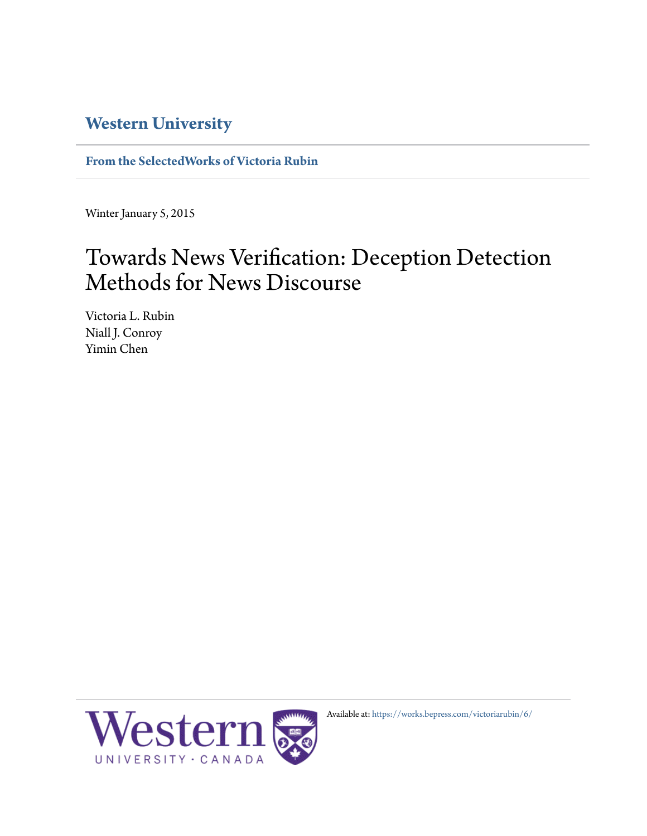## **[Western University](http://www.uwo.ca/)**

**[From the SelectedWorks of Victoria Rubin](https://works.bepress.com/victoriarubin/)**

Winter January 5, 2015

# Towards News Verification: Deception Detection Methods for News Discourse

Victoria L. Rubin Niall J. Conroy Yimin Chen



Available at: <https://works.bepress.com/victoriarubin/6/>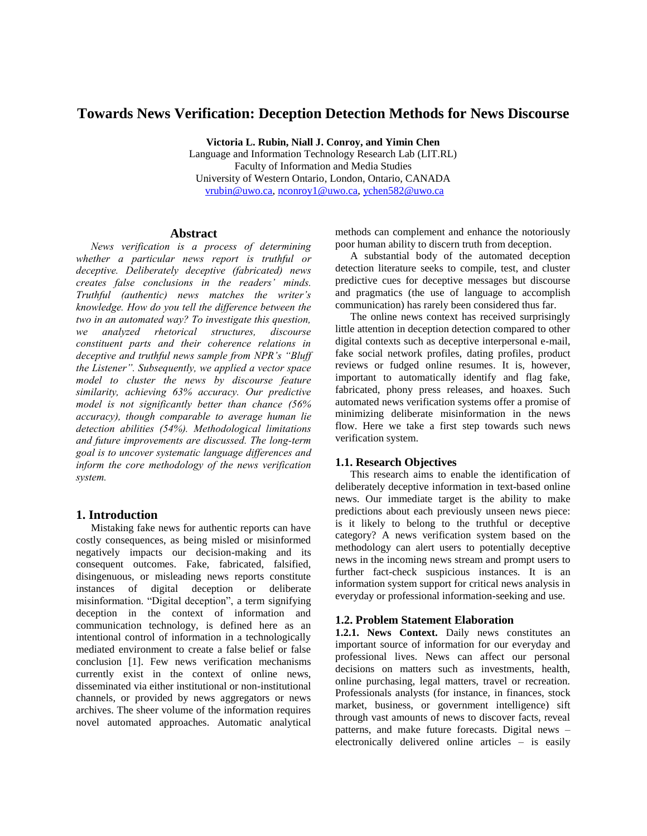### **Towards News Verification: Deception Detection Methods for News Discourse**

**Victoria L. Rubin, Niall J. Conroy, and Yimin Chen**

Language and Information Technology Research Lab (LIT.RL) Faculty of Information and Media Studies University of Western Ontario, London, Ontario, CANADA [vrubin@uwo.ca,](mailto:vrubin@uwo.ca) [nconroy1@uwo.ca,](mailto:nconroy1@uwo.ca) [ychen582@uwo.ca](mailto:ychen582@uwo.ca) 

#### **Abstract**

*News verification is a process of determining whether a particular news report is truthful or deceptive. Deliberately deceptive (fabricated) news creates false conclusions in the readers' minds. Truthful (authentic) news matches the writer's knowledge. How do you tell the difference between the two in an automated way? To investigate this question, we analyzed rhetorical structures, discourse constituent parts and their coherence relations in deceptive and truthful news sample from NPR's "Bluff the Listener". Subsequently, we applied a vector space model to cluster the news by discourse feature similarity, achieving 63% accuracy. Our predictive model is not significantly better than chance (56% accuracy), though comparable to average human lie detection abilities (54%). Methodological limitations and future improvements are discussed. The long-term goal is to uncover systematic language differences and inform the core methodology of the news verification system.*

#### **1. Introduction**

Mistaking fake news for authentic reports can have costly consequences, as being misled or misinformed negatively impacts our decision-making and its consequent outcomes. Fake, fabricated, falsified, disingenuous, or misleading news reports constitute instances of digital deception or deliberate misinformation. "Digital deception", a term signifying deception in the context of information and communication technology, is defined here as an intentional control of information in a technologically mediated environment to create a false belief or false conclusion [1]. Few news verification mechanisms currently exist in the context of online news, disseminated via either institutional or non-institutional channels, or provided by news aggregators or news archives. The sheer volume of the information requires novel automated approaches. Automatic analytical

methods can complement and enhance the notoriously poor human ability to discern truth from deception.

A substantial body of the automated deception detection literature seeks to compile, test, and cluster predictive cues for deceptive messages but discourse and pragmatics (the use of language to accomplish communication) has rarely been considered thus far.

The online news context has received surprisingly little attention in deception detection compared to other digital contexts such as deceptive interpersonal e-mail, fake social network profiles, dating profiles, product reviews or fudged online resumes. It is, however, important to automatically identify and flag fake, fabricated, phony press releases, and hoaxes. Such automated news verification systems offer a promise of minimizing deliberate misinformation in the news flow. Here we take a first step towards such news verification system.

#### **1.1. Research Objectives**

This research aims to enable the identification of deliberately deceptive information in text-based online news. Our immediate target is the ability to make predictions about each previously unseen news piece: is it likely to belong to the truthful or deceptive category? A news verification system based on the methodology can alert users to potentially deceptive news in the incoming news stream and prompt users to further fact-check suspicious instances. It is an information system support for critical news analysis in everyday or professional information-seeking and use.

#### **1.2. Problem Statement Elaboration**

1.2.1. News Context. Daily news constitutes an important source of information for our everyday and professional lives. News can affect our personal decisions on matters such as investments, health, online purchasing, legal matters, travel or recreation. Professionals analysts (for instance, in finances, stock market, business, or government intelligence) sift through vast amounts of news to discover facts, reveal patterns, and make future forecasts. Digital news – electronically delivered online articles – is easily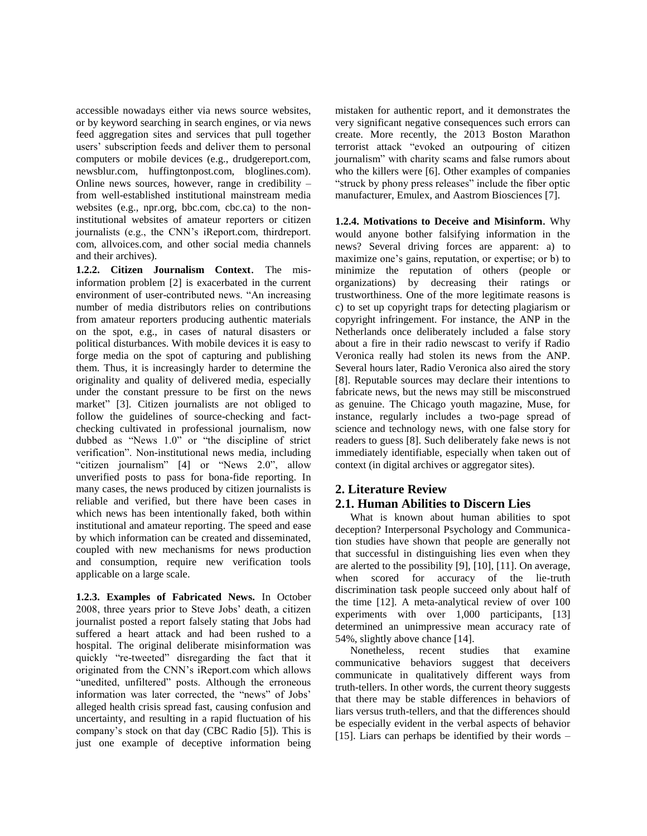accessible nowadays either via news source websites, or by keyword searching in search engines, or via news feed aggregation sites and services that pull together users' subscription feeds and deliver them to personal computers or mobile devices (e.g., drudgereport.com, newsblur.com, huffingtonpost.com, bloglines.com). Online news sources, however, range in credibility – from well-established institutional mainstream media websites (e.g., npr.org, bbc.com, cbc.ca) to the noninstitutional websites of amateur reporters or citizen journalists (e.g., the CNN's iReport.com, thirdreport. com, allvoices.com, and other social media channels and their archives).

**1.2.2. Citizen Journalism Context**. The misinformation problem [2] is exacerbated in the current environment of user-contributed news. "An increasing number of media distributors relies on contributions from amateur reporters producing authentic materials on the spot, e.g., in cases of natural disasters or political disturbances. With mobile devices it is easy to forge media on the spot of capturing and publishing them. Thus, it is increasingly harder to determine the originality and quality of delivered media, especially under the constant pressure to be first on the news market" [3]. Citizen journalists are not obliged to follow the guidelines of source-checking and factchecking cultivated in professional journalism, now dubbed as "News 1.0" or "the discipline of strict verification". Non-institutional news media, including "citizen journalism" [4] or "News 2.0", allow unverified posts to pass for bona-fide reporting. In many cases, the news produced by citizen journalists is reliable and verified, but there have been cases in which news has been intentionally faked, both within institutional and amateur reporting. The speed and ease by which information can be created and disseminated, coupled with new mechanisms for news production and consumption, require new verification tools applicable on a large scale.

**1.2.3. Examples of Fabricated News.** In October 2008, three years prior to Steve Jobs' death, a citizen journalist posted a report falsely stating that Jobs had suffered a heart attack and had been rushed to a hospital. The original deliberate misinformation was quickly "re-tweeted" disregarding the fact that it originated from the CNN's iReport.com which allows "unedited, unfiltered" posts. Although the erroneous information was later corrected, the "news" of Jobs' alleged health crisis spread fast, causing confusion and uncertainty, and resulting in a rapid fluctuation of his company's stock on that day (CBC Radio [5]). This is just one example of deceptive information being mistaken for authentic report, and it demonstrates the very significant negative consequences such errors can create. More recently, the 2013 Boston Marathon terrorist attack "evoked an outpouring of citizen journalism" with charity scams and false rumors about who the killers were [6]. Other examples of companies "struck by phony press releases" include the fiber optic manufacturer, Emulex, and Aastrom Biosciences [7].

**1.2.4. Motivations to Deceive and Misinform**. Why would anyone bother falsifying information in the news? Several driving forces are apparent: a) to maximize one's gains, reputation, or expertise; or b) to minimize the reputation of others (people or organizations) by decreasing their ratings or trustworthiness. One of the more legitimate reasons is c) to set up copyright traps for detecting plagiarism or copyright infringement. For instance, the ANP in the Netherlands once deliberately included a false story about a fire in their radio newscast to verify if Radio Veronica really had stolen its news from the ANP. Several hours later, Radio Veronica also aired the story [8]. Reputable sources may declare their intentions to fabricate news, but the news may still be misconstrued as genuine. The Chicago youth magazine, Muse, for instance, regularly includes a two-page spread of science and technology news, with one false story for readers to guess [8]. Such deliberately fake news is not immediately identifiable, especially when taken out of context (in digital archives or aggregator sites).

#### **2. Literature Review 2.1. Human Abilities to Discern Lies**

What is known about human abilities to spot deception? Interpersonal Psychology and Communication studies have shown that people are generally not that successful in distinguishing lies even when they are alerted to the possibility [9], [10], [11]. On average, when scored for accuracy of the lie-truth discrimination task people succeed only about half of the time [12]. A meta-analytical review of over 100 experiments with over 1,000 participants, [13] determined an unimpressive mean accuracy rate of 54%, slightly above chance [14].

Nonetheless, recent studies that examine communicative behaviors suggest that deceivers communicate in qualitatively different ways from truth-tellers. In other words, the current theory suggests that there may be stable differences in behaviors of liars versus truth-tellers, and that the differences should be especially evident in the verbal aspects of behavior [15]. Liars can perhaps be identified by their words –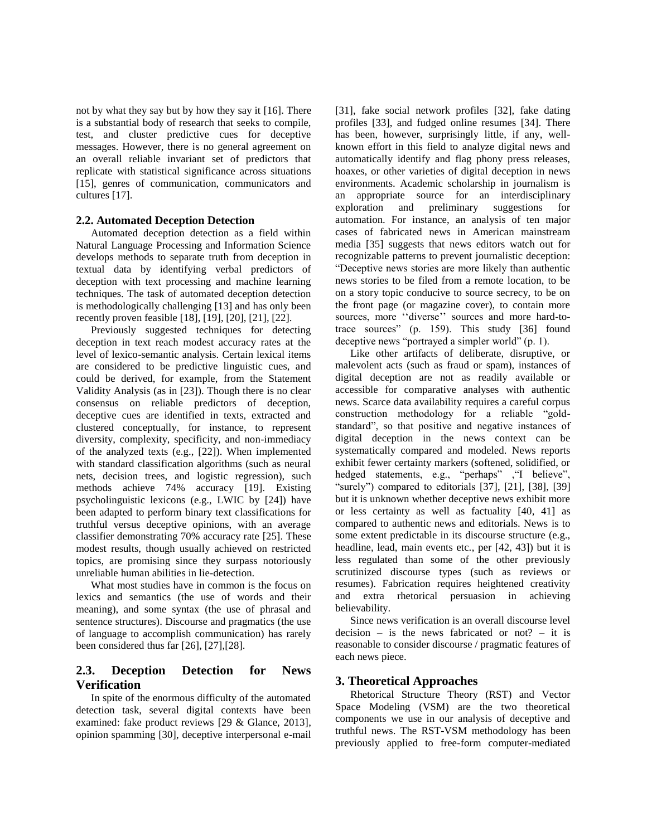not by what they say but by how they say it [16]. There is a substantial body of research that seeks to compile, test, and cluster predictive cues for deceptive messages. However, there is no general agreement on an overall reliable invariant set of predictors that replicate with statistical significance across situations [15], genres of communication, communicators and cultures [17].

#### **2.2. Automated Deception Detection**

Automated deception detection as a field within Natural Language Processing and Information Science develops methods to separate truth from deception in textual data by identifying verbal predictors of deception with text processing and machine learning techniques. The task of automated deception detection is methodologically challenging [13] and has only been recently proven feasible [18], [19], [20], [21], [22].

Previously suggested techniques for detecting deception in text reach modest accuracy rates at the level of lexico-semantic analysis. Certain lexical items are considered to be predictive linguistic cues, and could be derived, for example, from the Statement Validity Analysis (as in [23]). Though there is no clear consensus on reliable predictors of deception, deceptive cues are identified in texts, extracted and clustered conceptually, for instance, to represent diversity, complexity, specificity, and non-immediacy of the analyzed texts (e.g., [22]). When implemented with standard classification algorithms (such as neural nets, decision trees, and logistic regression), such methods achieve 74% accuracy [19]. Existing psycholinguistic lexicons (e.g., LWIC by [24]) have been adapted to perform binary text classifications for truthful versus deceptive opinions, with an average classifier demonstrating 70% accuracy rate [25]. These modest results, though usually achieved on restricted topics, are promising since they surpass notoriously unreliable human abilities in lie-detection.

What most studies have in common is the focus on lexics and semantics (the use of words and their meaning), and some syntax (the use of phrasal and sentence structures). Discourse and pragmatics (the use of language to accomplish communication) has rarely been considered thus far [26], [27],[28].

#### **2.3. Deception Detection for News Verification**

In spite of the enormous difficulty of the automated detection task, several digital contexts have been examined: fake product reviews [29 & Glance, 2013], opinion spamming [30], deceptive interpersonal e-mail

[31], fake social network profiles [32], fake dating profiles [33], and fudged online resumes [34]. There has been, however, surprisingly little, if any, wellknown effort in this field to analyze digital news and automatically identify and flag phony press releases, hoaxes, or other varieties of digital deception in news environments. Academic scholarship in journalism is an appropriate source for an interdisciplinary exploration and preliminary suggestions for automation. For instance, an analysis of ten major cases of fabricated news in American mainstream media [35] suggests that news editors watch out for recognizable patterns to prevent journalistic deception: "Deceptive news stories are more likely than authentic news stories to be filed from a remote location, to be on a story topic conducive to source secrecy, to be on the front page (or magazine cover), to contain more sources, more ''diverse'' sources and more hard-totrace sources" (p. 159). This study [36] found deceptive news "portrayed a simpler world" (p. 1).

Like other artifacts of deliberate, disruptive, or malevolent acts (such as fraud or spam), instances of digital deception are not as readily available or accessible for comparative analyses with authentic news. Scarce data availability requires a careful corpus construction methodology for a reliable "goldstandard", so that positive and negative instances of digital deception in the news context can be systematically compared and modeled. News reports exhibit fewer certainty markers (softened, solidified, or hedged statements, e.g., "perhaps" , "I believe", "surely") compared to editorials [37], [21], [38], [39] but it is unknown whether deceptive news exhibit more or less certainty as well as factuality [40, 41] as compared to authentic news and editorials. News is to some extent predictable in its discourse structure (e.g., headline, lead, main events etc., per [42, 43]) but it is less regulated than some of the other previously scrutinized discourse types (such as reviews or resumes). Fabrication requires heightened creativity and extra rhetorical persuasion in achieving believability.

Since news verification is an overall discourse level decision – is the news fabricated or not? – it is reasonable to consider discourse / pragmatic features of each news piece.

#### **3. Theoretical Approaches**

Rhetorical Structure Theory (RST) and Vector Space Modeling (VSM) are the two theoretical components we use in our analysis of deceptive and truthful news. The RST-VSM methodology has been previously applied to free-form computer-mediated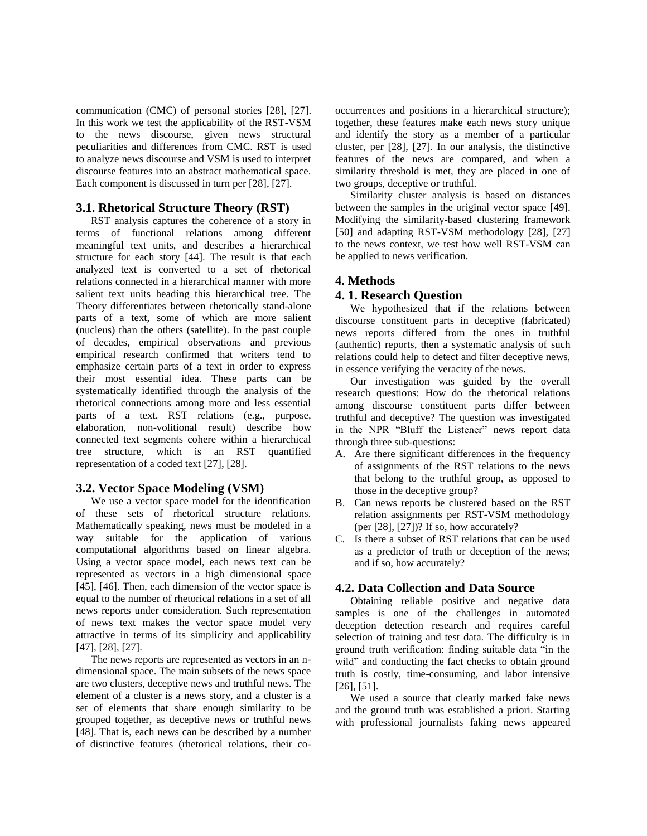communication (CMC) of personal stories [28], [27]. In this work we test the applicability of the RST-VSM to the news discourse, given news structural peculiarities and differences from CMC. RST is used to analyze news discourse and VSM is used to interpret discourse features into an abstract mathematical space. Each component is discussed in turn per [28], [27].

#### **3.1. Rhetorical Structure Theory (RST)**

RST analysis captures the coherence of a story in terms of functional relations among different meaningful text units, and describes a hierarchical structure for each story [44]. The result is that each analyzed text is converted to a set of rhetorical relations connected in a hierarchical manner with more salient text units heading this hierarchical tree. The Theory differentiates between rhetorically stand-alone parts of a text, some of which are more salient (nucleus) than the others (satellite). In the past couple of decades, empirical observations and previous empirical research confirmed that writers tend to emphasize certain parts of a text in order to express their most essential idea. These parts can be systematically identified through the analysis of the rhetorical connections among more and less essential parts of a text. RST relations (e.g., purpose, elaboration, non-volitional result) describe how connected text segments cohere within a hierarchical tree structure, which is an RST quantified representation of a coded text [27], [28].

#### **3.2. Vector Space Modeling (VSM)**

We use a vector space model for the identification of these sets of rhetorical structure relations. Mathematically speaking, news must be modeled in a way suitable for the application of various computational algorithms based on linear algebra. Using a vector space model, each news text can be represented as vectors in a high dimensional space [45], [46]. Then, each dimension of the vector space is equal to the number of rhetorical relations in a set of all news reports under consideration. Such representation of news text makes the vector space model very attractive in terms of its simplicity and applicability [47], [28], [27].

The news reports are represented as vectors in an ndimensional space. The main subsets of the news space are two clusters, deceptive news and truthful news. The element of a cluster is a news story, and a cluster is a set of elements that share enough similarity to be grouped together, as deceptive news or truthful news [48]. That is, each news can be described by a number of distinctive features (rhetorical relations, their cooccurrences and positions in a hierarchical structure); together, these features make each news story unique and identify the story as a member of a particular cluster, per [28], [27]. In our analysis, the distinctive features of the news are compared, and when a similarity threshold is met, they are placed in one of two groups, deceptive or truthful.

Similarity cluster analysis is based on distances between the samples in the original vector space [49]. Modifying the similarity-based clustering framework [50] and adapting RST-VSM methodology [28], [27] to the news context, we test how well RST-VSM can be applied to news verification.

#### **4. Methods**

#### **4. 1. Research Question**

We hypothesized that if the relations between discourse constituent parts in deceptive (fabricated) news reports differed from the ones in truthful (authentic) reports, then a systematic analysis of such relations could help to detect and filter deceptive news, in essence verifying the veracity of the news.

Our investigation was guided by the overall research questions: How do the rhetorical relations among discourse constituent parts differ between truthful and deceptive? The question was investigated in the NPR "Bluff the Listener" news report data through three sub-questions:

- A. Are there significant differences in the frequency of assignments of the RST relations to the news that belong to the truthful group, as opposed to those in the deceptive group?
- B. Can news reports be clustered based on the RST relation assignments per RST-VSM methodology (per [28], [27])? If so, how accurately?
- C. Is there a subset of RST relations that can be used as a predictor of truth or deception of the news; and if so, how accurately?

#### **4.2. Data Collection and Data Source**

Obtaining reliable positive and negative data samples is one of the challenges in automated deception detection research and requires careful selection of training and test data. The difficulty is in ground truth verification: finding suitable data "in the wild" and conducting the fact checks to obtain ground truth is costly, time-consuming, and labor intensive [26], [51].

We used a source that clearly marked fake news and the ground truth was established a priori. Starting with professional journalists faking news appeared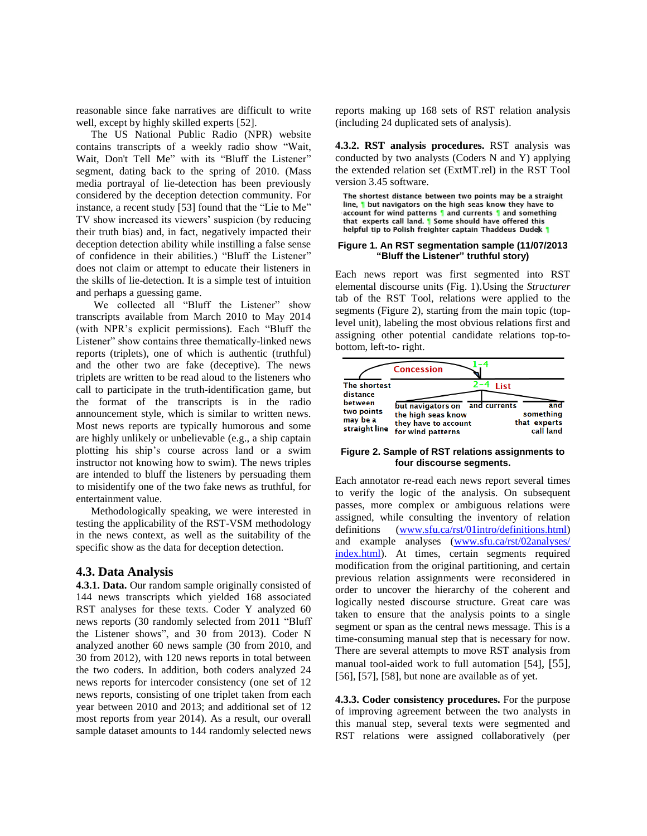reasonable since fake narratives are difficult to write well, except by highly skilled experts [52].

The US National Public Radio (NPR) website contains transcripts of a weekly radio show "Wait, Wait, Don't Tell Me" with its "Bluff the Listener" segment, dating back to the spring of 2010. (Mass media portrayal of lie-detection has been previously considered by the deception detection community. For instance, a recent study [53] found that the "Lie to Me" TV show increased its viewers' suspicion (by reducing their truth bias) and, in fact, negatively impacted their deception detection ability while instilling a false sense of confidence in their abilities.) "Bluff the Listener" does not claim or attempt to educate their listeners in the skills of lie-detection. It is a simple test of intuition and perhaps a guessing game.

We collected all "Bluff the Listener" show transcripts available from March 2010 to May 2014 (with NPR's explicit permissions). Each "Bluff the Listener" show contains three thematically-linked news reports (triplets), one of which is authentic (truthful) and the other two are fake (deceptive). The news triplets are written to be read aloud to the listeners who call to participate in the truth-identification game, but the format of the transcripts is in the radio announcement style, which is similar to written news. Most news reports are typically humorous and some are highly unlikely or unbelievable (e.g., a ship captain plotting his ship's course across land or a swim instructor not knowing how to swim). The news triples are intended to bluff the listeners by persuading them to misidentify one of the two fake news as truthful, for entertainment value.

Methodologically speaking, we were interested in testing the applicability of the RST-VSM methodology in the news context, as well as the suitability of the specific show as the data for deception detection.

#### **4.3. Data Analysis**

**4.3.1. Data.** Our random sample originally consisted of 144 news transcripts which yielded 168 associated RST analyses for these texts. Coder Y analyzed 60 news reports (30 randomly selected from 2011 "Bluff the Listener shows", and 30 from 2013). Coder N analyzed another 60 news sample (30 from 2010, and 30 from 2012), with 120 news reports in total between the two coders. In addition, both coders analyzed 24 news reports for intercoder consistency (one set of 12 news reports, consisting of one triplet taken from each year between 2010 and 2013; and additional set of 12 most reports from year 2014). As a result, our overall sample dataset amounts to 144 randomly selected news

reports making up 168 sets of RST relation analysis (including 24 duplicated sets of analysis).

**4.3.2. RST analysis procedures.** RST analysis was conducted by two analysts (Coders N and Y) applying the extended relation set (ExtMT.rel) in the RST Tool version 3.45 software.

The shortest distance between two points may be a straight line, I but navigators on the high seas know they have to account for wind patterns 1 and currents 1 and something that experts call land. I Some should have offered this helpful tip to Polish freighter captain Thaddeus Dudek

#### **Figure 1. An RST segmentation sample (11/07/2013 "Bluff the Listener" truthful story)**

Each news report was first segmented into RST elemental discourse units (Fig. 1).Using the *Structurer* tab of the RST Tool, relations were applied to the segments (Figure 2), starting from the main topic (toplevel unit), labeling the most obvious relations first and assigning other potential candidate relations top-tobottom, left-to- right.



#### **Figure 2. Sample of RST relations assignments to four discourse segments.**

Each annotator re-read each news report several times to verify the logic of the analysis. On subsequent passes, more complex or ambiguous relations were assigned, while consulting the inventory of relation definitions [\(www.sfu.ca/rst/01intro/definitions.html\)](http://www.sfu.ca/rst/01intro/definitions.html) and example analyses [\(www.sfu.ca/rst/02analyses/](http://www.sfu.ca/rst/02analyses/%20index.html)  [index.html\)](http://www.sfu.ca/rst/02analyses/%20index.html). At times, certain segments required modification from the original partitioning, and certain previous relation assignments were reconsidered in order to uncover the hierarchy of the coherent and logically nested discourse structure. Great care was taken to ensure that the analysis points to a single segment or span as the central news message. This is a time-consuming manual step that is necessary for now. There are several attempts to move RST analysis from manual tool-aided work to full automation [54], [55], [56], [57], [58], but none are available as of yet.

**4.3.3. Coder consistency procedures.** For the purpose of improving agreement between the two analysts in this manual step, several texts were segmented and RST relations were assigned collaboratively (per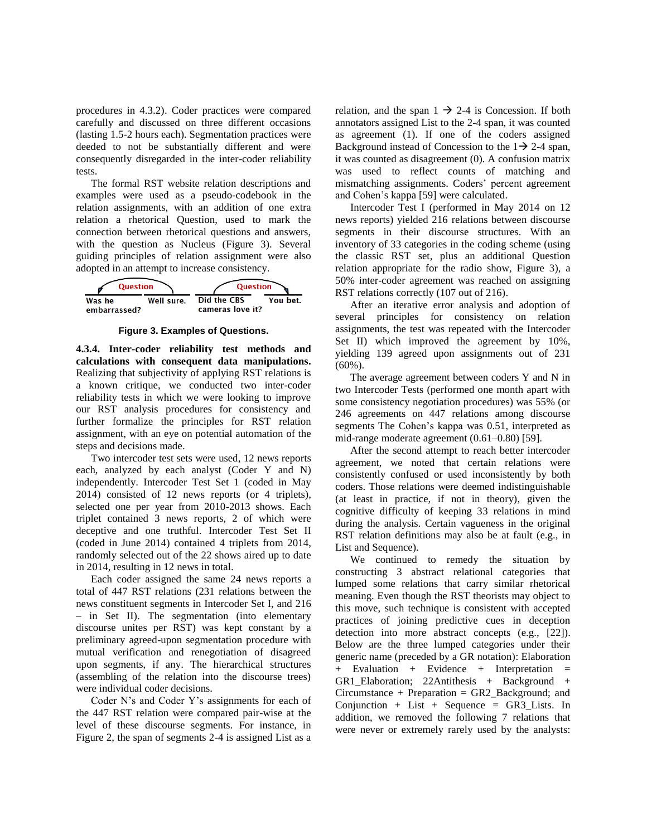procedures in 4.3.2). Coder practices were compared carefully and discussed on three different occasions (lasting 1.5-2 hours each). Segmentation practices were deeded to not be substantially different and were consequently disregarded in the inter-coder reliability tests.

The formal RST website relation descriptions and examples were used as a pseudo-codebook in the relation assignments, with an addition of one extra relation a rhetorical Question, used to mark the connection between rhetorical questions and answers, with the question as Nucleus (Figure 3). Several guiding principles of relation assignment were also adopted in an attempt to increase consistency.



**Figure 3. Examples of Questions.** 

**4.3.4. Inter-coder reliability test methods and calculations with consequent data manipulations.**  Realizing that subjectivity of applying RST relations is a known critique, we conducted two inter-coder reliability tests in which we were looking to improve our RST analysis procedures for consistency and further formalize the principles for RST relation assignment, with an eye on potential automation of the steps and decisions made.

Two intercoder test sets were used, 12 news reports each, analyzed by each analyst (Coder Y and N) independently. Intercoder Test Set 1 (coded in May 2014) consisted of 12 news reports (or 4 triplets), selected one per year from 2010-2013 shows. Each triplet contained 3 news reports, 2 of which were deceptive and one truthful. Intercoder Test Set II (coded in June 2014) contained 4 triplets from 2014, randomly selected out of the 22 shows aired up to date in 2014, resulting in 12 news in total.

Each coder assigned the same 24 news reports a total of 447 RST relations (231 relations between the news constituent segments in Intercoder Set I, and 216 – in Set II). The segmentation (into elementary discourse unites per RST) was kept constant by a preliminary agreed-upon segmentation procedure with mutual verification and renegotiation of disagreed upon segments, if any. The hierarchical structures (assembling of the relation into the discourse trees) were individual coder decisions.

Coder N's and Coder Y's assignments for each of the 447 RST relation were compared pair-wise at the level of these discourse segments. For instance, in Figure 2, the span of segments 2-4 is assigned List as a

relation, and the span  $1 \rightarrow 2-4$  is Concession. If both annotators assigned List to the 2-4 span, it was counted as agreement (1). If one of the coders assigned Background instead of Concession to the  $1\rightarrow 2-4$  span, it was counted as disagreement (0). A confusion matrix was used to reflect counts of matching and mismatching assignments. Coders' percent agreement and Cohen's kappa [59] were calculated.

Intercoder Test I (performed in May 2014 on 12 news reports) yielded 216 relations between discourse segments in their discourse structures. With an inventory of 33 categories in the coding scheme (using the classic RST set, plus an additional Question relation appropriate for the radio show, Figure 3), a 50% inter-coder agreement was reached on assigning RST relations correctly (107 out of 216).

After an iterative error analysis and adoption of several principles for consistency on relation assignments, the test was repeated with the Intercoder Set II) which improved the agreement by  $10\%$ , yielding 139 agreed upon assignments out of 231  $(60\%)$ .

The average agreement between coders Y and N in two Intercoder Tests (performed one month apart with some consistency negotiation procedures) was 55% (or 246 agreements on 447 relations among discourse segments The Cohen's kappa was 0.51, interpreted as mid-range moderate agreement (0.61–0.80) [59].

After the second attempt to reach better intercoder agreement, we noted that certain relations were consistently confused or used inconsistently by both coders. Those relations were deemed indistinguishable (at least in practice, if not in theory), given the cognitive difficulty of keeping 33 relations in mind during the analysis. Certain vagueness in the original RST relation definitions may also be at fault (e.g., in List and Sequence).

We continued to remedy the situation by constructing 3 abstract relational categories that lumped some relations that carry similar rhetorical meaning. Even though the RST theorists may object to this move, such technique is consistent with accepted practices of joining predictive cues in deception detection into more abstract concepts (e.g., [22]). Below are the three lumped categories under their generic name (preceded by a GR notation): Elaboration + Evaluation + Evidence + Interpretation = GR1\_Elaboration; 22Antithesis + Background + Circumstance + Preparation = GR2\_Background; and Conjunction + List + Sequence =  $GR3$  Lists. In addition, we removed the following 7 relations that were never or extremely rarely used by the analysts: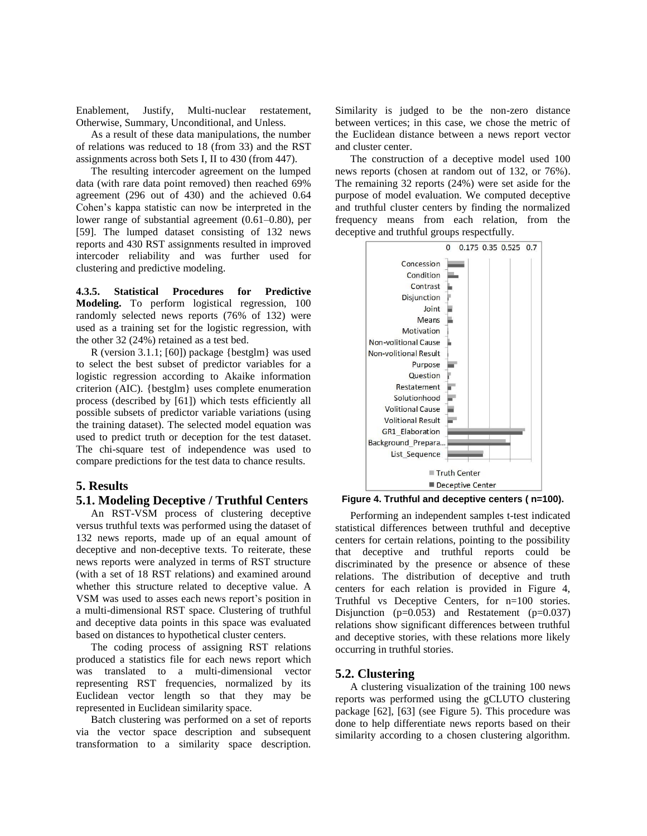Enablement, Justify, Multi-nuclear restatement, Otherwise, Summary, Unconditional, and Unless.

As a result of these data manipulations, the number of relations was reduced to 18 (from 33) and the RST assignments across both Sets I, II to 430 (from 447).

The resulting intercoder agreement on the lumped data (with rare data point removed) then reached 69% agreement (296 out of 430) and the achieved 0.64 Cohen's kappa statistic can now be interpreted in the lower range of substantial agreement (0.61–0.80), per [59]. The lumped dataset consisting of 132 news reports and 430 RST assignments resulted in improved intercoder reliability and was further used for clustering and predictive modeling.

**4.3.5. Statistical Procedures for Predictive Modeling.** To perform logistical regression, 100 randomly selected news reports (76% of 132) were used as a training set for the logistic regression, with the other 32 (24%) retained as a test bed.

R (version 3.1.1; [60]) package {bestglm} was used to select the best subset of predictor variables for a logistic regression according to Akaike information criterion (AIC). {bestglm} uses complete enumeration process (described by [61]) which tests efficiently all possible subsets of predictor variable variations (using the training dataset). The selected model equation was used to predict truth or deception for the test dataset. The chi-square test of independence was used to compare predictions for the test data to chance results.

#### **5. Results**

#### **5.1. Modeling Deceptive / Truthful Centers**

An RST-VSM process of clustering deceptive versus truthful texts was performed using the dataset of 132 news reports, made up of an equal amount of deceptive and non-deceptive texts. To reiterate, these news reports were analyzed in terms of RST structure (with a set of 18 RST relations) and examined around whether this structure related to deceptive value. A VSM was used to asses each news report's position in a multi-dimensional RST space. Clustering of truthful and deceptive data points in this space was evaluated based on distances to hypothetical cluster centers.

The coding process of assigning RST relations produced a statistics file for each news report which was translated to a multi-dimensional vector representing RST frequencies, normalized by its Euclidean vector length so that they may be represented in Euclidean similarity space.

Batch clustering was performed on a set of reports via the vector space description and subsequent transformation to a similarity space description.

Similarity is judged to be the non-zero distance between vertices; in this case, we chose the metric of the Euclidean distance between a news report vector and cluster center.

The construction of a deceptive model used 100 news reports (chosen at random out of 132, or 76%). The remaining 32 reports (24%) were set aside for the purpose of model evaluation. We computed deceptive and truthful cluster centers by finding the normalized frequency means from each relation, from the deceptive and truthful groups respectfully.



**Figure 4. Truthful and deceptive centers ( n=100).**

Performing an independent samples t-test indicated statistical differences between truthful and deceptive centers for certain relations, pointing to the possibility that deceptive and truthful reports could be discriminated by the presence or absence of these relations. The distribution of deceptive and truth centers for each relation is provided in Figure 4, Truthful vs Deceptive Centers, for n=100 stories. Disjunction  $(p=0.053)$  and Restatement  $(p=0.037)$ relations show significant differences between truthful and deceptive stories, with these relations more likely occurring in truthful stories.

#### **5.2. Clustering**

A clustering visualization of the training 100 news reports was performed using the gCLUTO clustering package [62], [63] (see Figure 5). This procedure was done to help differentiate news reports based on their similarity according to a chosen clustering algorithm.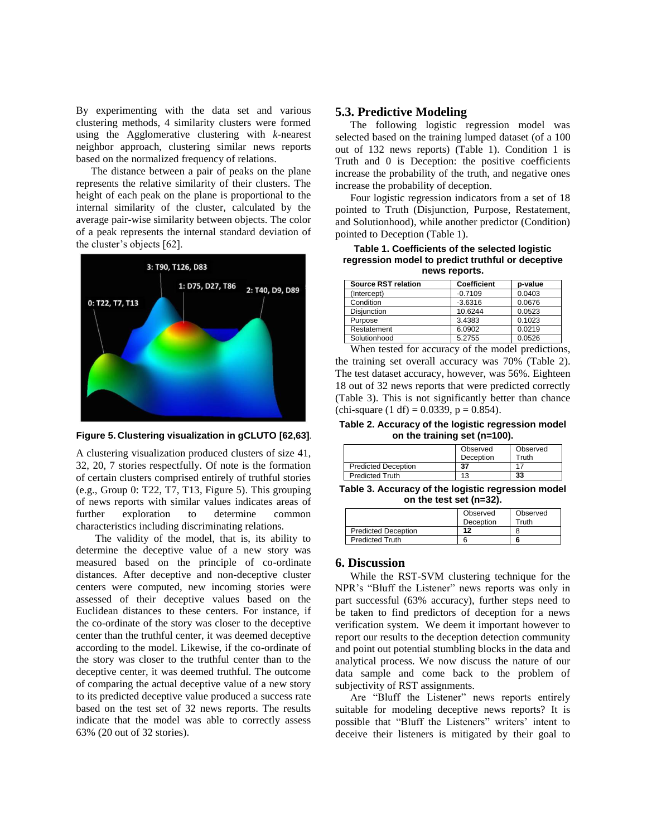By experimenting with the data set and various clustering methods, 4 similarity clusters were formed using the Agglomerative clustering with *k*-nearest neighbor approach, clustering similar news reports based on the normalized frequency of relations.

The distance between a pair of peaks on the plane represents the relative similarity of their clusters. The height of each peak on the plane is proportional to the internal similarity of the cluster, calculated by the average pair-wise similarity between objects. The color of a peak represents the internal standard deviation of the cluster's objects [62].



**Figure 5. Clustering visualization in gCLUTO [62,63].**

A clustering visualization produced clusters of size 41, 32, 20, 7 stories respectfully. Of note is the formation of certain clusters comprised entirely of truthful stories (e.g., Group 0: T22, T7, T13, Figure 5). This grouping of news reports with similar values indicates areas of further exploration to determine common characteristics including discriminating relations.

The validity of the model, that is, its ability to determine the deceptive value of a new story was measured based on the principle of co-ordinate distances. After deceptive and non-deceptive cluster centers were computed, new incoming stories were assessed of their deceptive values based on the Euclidean distances to these centers. For instance, if the co-ordinate of the story was closer to the deceptive center than the truthful center, it was deemed deceptive according to the model. Likewise, if the co-ordinate of the story was closer to the truthful center than to the deceptive center, it was deemed truthful. The outcome of comparing the actual deceptive value of a new story to its predicted deceptive value produced a success rate based on the test set of 32 news reports. The results indicate that the model was able to correctly assess 63% (20 out of 32 stories).

#### **5.3. Predictive Modeling**

The following logistic regression model was selected based on the training lumped dataset (of a 100 out of 132 news reports) (Table 1). Condition 1 is Truth and 0 is Deception: the positive coefficients increase the probability of the truth, and negative ones increase the probability of deception.

Four logistic regression indicators from a set of 18 pointed to Truth (Disjunction, Purpose, Restatement, and Solutionhood), while another predictor (Condition) pointed to Deception (Table 1).

**Table 1. Coefficients of the selected logistic regression model to predict truthful or deceptive news reports.**

| Source RST relation | <b>Coefficient</b> | p-value |
|---------------------|--------------------|---------|
| (Intercept)         | $-0.7109$          | 0.0403  |
| Condition           | $-3.6316$          | 0.0676  |
| Disjunction         | 10.6244            | 0.0523  |
| Purpose             | 3.4383             | 0.1023  |
| Restatement         | 6.0902             | 0.0219  |
| Solutionhood        | 5.2755             | 0.0526  |

When tested for accuracy of the model predictions, the training set overall accuracy was 70% (Table 2). The test dataset accuracy, however, was 56%. Eighteen 18 out of 32 news reports that were predicted correctly (Table 3). This is not significantly better than chance (chi-square  $(1 df) = 0.0339$ ,  $p = 0.854$ ).

**Table 2. Accuracy of the logistic regression model on the training set (n=100).**

|                            | Observed<br>Deception | Observed<br>Truth |
|----------------------------|-----------------------|-------------------|
| <b>Predicted Deception</b> | 37                    |                   |
| <b>Predicted Truth</b>     |                       | 33                |

**Table 3. Accuracy of the logistic regression model on the test set (n=32).**

|                            | Observed  | Observed |
|----------------------------|-----------|----------|
|                            | Deception | Truth    |
| <b>Predicted Deception</b> | 12        |          |
| <b>Predicted Truth</b>     |           |          |

#### **6. Discussion**

While the RST-SVM clustering technique for the NPR's "Bluff the Listener" news reports was only in part successful (63% accuracy), further steps need to be taken to find predictors of deception for a news verification system. We deem it important however to report our results to the deception detection community and point out potential stumbling blocks in the data and analytical process. We now discuss the nature of our data sample and come back to the problem of subjectivity of RST assignments.

Are "Bluff the Listener" news reports entirely suitable for modeling deceptive news reports? It is possible that "Bluff the Listeners" writers' intent to deceive their listeners is mitigated by their goal to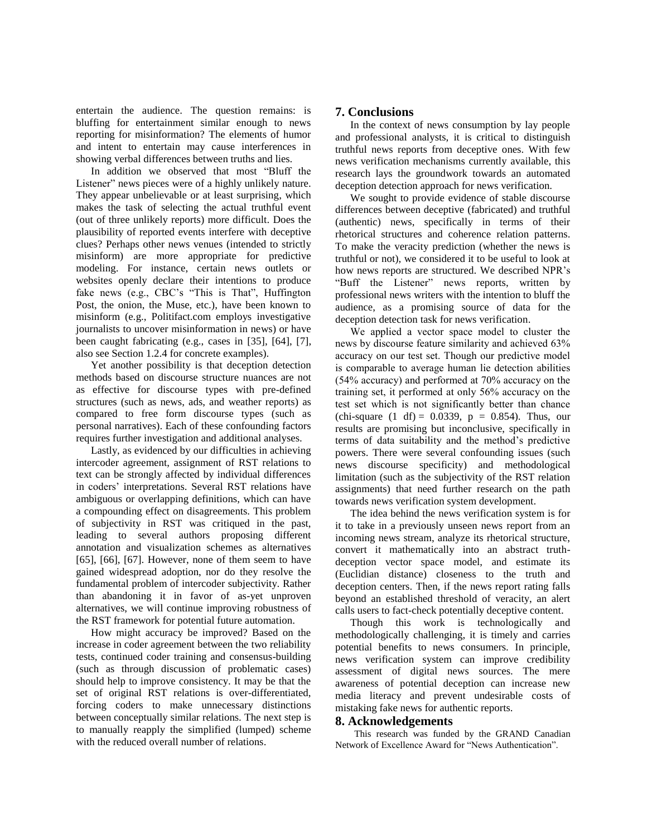entertain the audience. The question remains: is bluffing for entertainment similar enough to news reporting for misinformation? The elements of humor and intent to entertain may cause interferences in showing verbal differences between truths and lies.

In addition we observed that most "Bluff the Listener" news pieces were of a highly unlikely nature. They appear unbelievable or at least surprising, which makes the task of selecting the actual truthful event (out of three unlikely reports) more difficult. Does the plausibility of reported events interfere with deceptive clues? Perhaps other news venues (intended to strictly misinform) are more appropriate for predictive modeling. For instance, certain news outlets or websites openly declare their intentions to produce fake news (e.g., CBC's "This is That", Huffington Post, the onion, the Muse, etc.), have been known to misinform (e.g., Politifact.com employs investigative journalists to uncover misinformation in news) or have been caught fabricating (e.g., cases in [35], [64], [7], also see Section 1.2.4 for concrete examples).

Yet another possibility is that deception detection methods based on discourse structure nuances are not as effective for discourse types with pre-defined structures (such as news, ads, and weather reports) as compared to free form discourse types (such as personal narratives). Each of these confounding factors requires further investigation and additional analyses.

Lastly, as evidenced by our difficulties in achieving intercoder agreement, assignment of RST relations to text can be strongly affected by individual differences in coders' interpretations. Several RST relations have ambiguous or overlapping definitions, which can have a compounding effect on disagreements. This problem of subjectivity in RST was critiqued in the past, leading to several authors proposing different annotation and visualization schemes as alternatives [65],  $[66]$ ,  $[67]$ . However, none of them seem to have gained widespread adoption, nor do they resolve the fundamental problem of intercoder subjectivity. Rather than abandoning it in favor of as-yet unproven alternatives, we will continue improving robustness of the RST framework for potential future automation.

How might accuracy be improved? Based on the increase in coder agreement between the two reliability tests, continued coder training and consensus-building (such as through discussion of problematic cases) should help to improve consistency. It may be that the set of original RST relations is over-differentiated, forcing coders to make unnecessary distinctions between conceptually similar relations. The next step is to manually reapply the simplified (lumped) scheme with the reduced overall number of relations.

#### **7. Conclusions**

In the context of news consumption by lay people and professional analysts, it is critical to distinguish truthful news reports from deceptive ones. With few news verification mechanisms currently available, this research lays the groundwork towards an automated deception detection approach for news verification.

We sought to provide evidence of stable discourse differences between deceptive (fabricated) and truthful (authentic) news, specifically in terms of their rhetorical structures and coherence relation patterns. To make the veracity prediction (whether the news is truthful or not), we considered it to be useful to look at how news reports are structured. We described NPR's "Buff the Listener" news reports, written by professional news writers with the intention to bluff the audience, as a promising source of data for the deception detection task for news verification.

We applied a vector space model to cluster the news by discourse feature similarity and achieved 63% accuracy on our test set. Though our predictive model is comparable to average human lie detection abilities (54% accuracy) and performed at 70% accuracy on the training set, it performed at only 56% accuracy on the test set which is not significantly better than chance (chi-square  $(1 \text{ df}) = 0.0339$ ,  $p = 0.854$ ). Thus, our results are promising but inconclusive, specifically in terms of data suitability and the method's predictive powers. There were several confounding issues (such news discourse specificity) and methodological limitation (such as the subjectivity of the RST relation assignments) that need further research on the path towards news verification system development.

The idea behind the news verification system is for it to take in a previously unseen news report from an incoming news stream, analyze its rhetorical structure, convert it mathematically into an abstract truthdeception vector space model, and estimate its (Euclidian distance) closeness to the truth and deception centers. Then, if the news report rating falls beyond an established threshold of veracity, an alert calls users to fact-check potentially deceptive content.

Though this work is technologically and methodologically challenging, it is timely and carries potential benefits to news consumers. In principle, news verification system can improve credibility assessment of digital news sources. The mere awareness of potential deception can increase new media literacy and prevent undesirable costs of mistaking fake news for authentic reports.

#### **8. Acknowledgements**

This research was funded by the GRAND Canadian Network of Excellence Award for "News Authentication".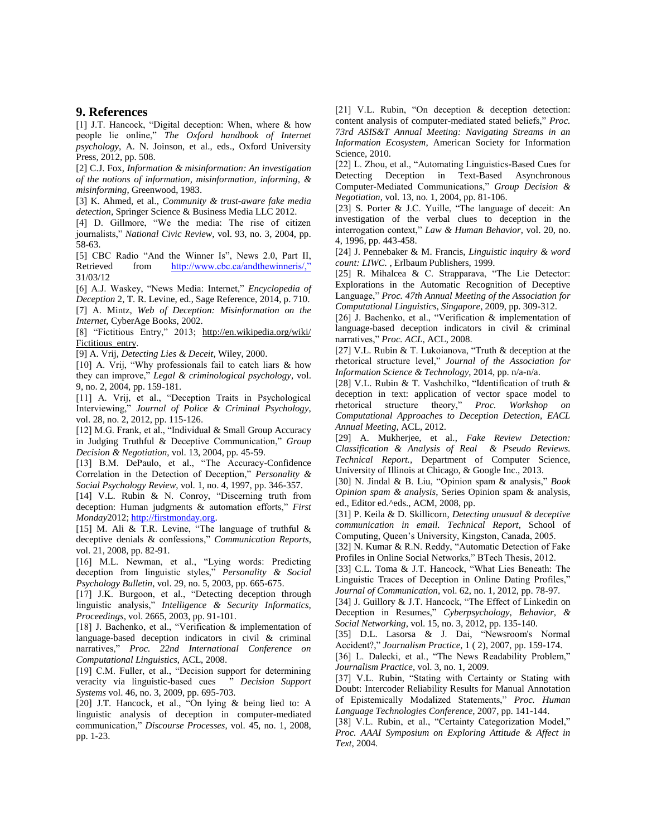#### **9. References**

[1] J.T. Hancock, "Digital deception: When, where & how people lie online," *The Oxford handbook of Internet psychology*, A. N. Joinson, et al., eds., Oxford University Press, 2012, pp. 508.

[2] C.J. Fox, *Information & misinformation: An investigation of the notions of information, misinformation, informing, & misinforming*, Greenwood, 1983.

[3] K. Ahmed, et al., *Community & trust-aware fake media detection*, Springer Science & Business Media LLC 2012.

[4] D. Gillmore, "We the media: The rise of citizen journalists," *National Civic Review*, vol. 93, no. 3, 2004, pp. 58-63.

[5] CBC Radio "And the Winner Is", News 2.0, Part II, Retrieved from [http://www.cbc.ca/andthewinneris/,"](http://www.cbc.ca/andthewinneris/,”) 31/03/12

[6] A.J. Waskey, "News Media: Internet," *Encyclopedia of Deception* 2, T. R. Levine, ed., Sage Reference, 2014, p. 710. [7] A. Mintz, *Web of Deception: Misinformation on the Internet*, CyberAge Books, 2002.

[8] "Fictitious Entry," 2013; http://en.wikipedia.org/wiki/ Fictitious\_entry.

[9] A. Vrij, *Detecting Lies & Deceit*, Wiley, 2000.

[10] A. Vrij, "Why professionals fail to catch liars & how they can improve," *Legal & criminological psychology*, vol. 9, no. 2, 2004, pp. 159-181.

[11] A. Vrij, et al., "Deception Traits in Psychological Interviewing," *Journal of Police & Criminal Psychology*, vol. 28, no. 2, 2012, pp. 115-126.

[12] M.G. Frank, et al., "Individual & Small Group Accuracy in Judging Truthful & Deceptive Communication," *Group Decision & Negotiation*, vol. 13, 2004, pp. 45-59.

[13] B.M. DePaulo, et al., "The Accuracy-Confidence Correlation in the Detection of Deception," *Personality & Social Psychology Review*, vol. 1, no. 4, 1997, pp. 346-357.

[14] V.L. Rubin & N. Conroy, "Discerning truth from deception: Human judgments & automation efforts," *First Monday*2012[; http://firstmonday.org.](http://firstmonday.org/)

[15] M. Ali & T.R. Levine, "The language of truthful & deceptive denials & confessions," *Communication Reports*, vol. 21, 2008, pp. 82-91.

[16] M.L. Newman, et al., "Lying words: Predicting deception from linguistic styles," *Personality & Social Psychology Bulletin*, vol. 29, no. 5, 2003, pp. 665-675.

[17] J.K. Burgoon, et al., "Detecting deception through linguistic analysis," *Intelligence & Security Informatics, Proceedings*, vol. 2665, 2003, pp. 91-101.

[18] J. Bachenko, et al., "Verification & implementation of language-based deception indicators in civil & criminal narratives," *Proc. 22nd International Conference on Computational Linguistics*, ACL, 2008.

[19] C.M. Fuller, et al., "Decision support for determining veracity via linguistic-based cues " *Decision Support Systems* vol. 46, no. 3, 2009, pp. 695-703.

[20] J.T. Hancock, et al., "On lying & being lied to: A linguistic analysis of deception in computer-mediated communication," *Discourse Processes*, vol. 45, no. 1, 2008, pp. 1-23.

[21] V.L. Rubin, "On deception & deception detection: content analysis of computer-mediated stated beliefs," *Proc. 73rd ASIS&T Annual Meeting: Navigating Streams in an Information Ecosystem*, American Society for Information Science, 2010.

[22] L. Zhou, et al., "Automating Linguistics-Based Cues for Detecting Deception in Text-Based Asynchronous Computer-Mediated Communications," *Group Decision & Negotiation*, vol. 13, no. 1, 2004, pp. 81-106.

[23] S. Porter & J.C. Yuille, "The language of deceit: An investigation of the verbal clues to deception in the interrogation context," *Law & Human Behavior*, vol. 20, no. 4, 1996, pp. 443-458.

[24] J. Pennebaker & M. Francis, *Linguistic inquiry & word count: LIWC.* , Erlbaum Publishers, 1999.

[25] R. Mihalcea & C. Strapparava, "The Lie Detector: Explorations in the Automatic Recognition of Deceptive Language," *Proc. 47th Annual Meeting of the Association for Computational Linguistics, Singapore*, 2009, pp. 309-312.

[26] J. Bachenko, et al., "Verification & implementation of language-based deception indicators in civil & criminal narratives," *Proc. ACL*, ACL, 2008.

[27] V.L. Rubin & T. Lukoianova, "Truth & deception at the rhetorical structure level," *Journal of the Association for Information Science & Technology*, 2014, pp. n/a-n/a.

[28] V.L. Rubin & T. Vashchilko, "Identification of truth & deception in text: application of vector space model to rhetorical structure theory," *Proc. Workshop on Computational Approaches to Deception Detection, EACL Annual Meeting*, ACL, 2012.

[29] A. Mukherjee, et al., *Fake Review Detection: Classification & Analysis of Real & Pseudo Reviews. Technical Report.*, Department of Computer Science, University of Illinois at Chicago, & Google Inc., 2013.

[30] N. Jindal & B. Liu, "Opinion spam & analysis," *Book Opinion spam & analysis*, Series Opinion spam & analysis, ed., Editor ed.^eds., ACM, 2008, pp.

[31] P. Keila & D. Skillicorn, *Detecting unusual & deceptive communication in email. Technical Report*, School of Computing, Queen's University, Kingston, Canada, 2005.

[32] N. Kumar & R.N. Reddy, "Automatic Detection of Fake Profiles in Online Social Networks," BTech Thesis, 2012.

[33] C.L. Toma & J.T. Hancock, "What Lies Beneath: The Linguistic Traces of Deception in Online Dating Profiles," *Journal of Communication*, vol. 62, no. 1, 2012, pp. 78-97.

[34] J. Guillory & J.T. Hancock, "The Effect of Linkedin on Deception in Resumes," *Cyberpsychology, Behavior, & Social Networking*, vol. 15, no. 3, 2012, pp. 135-140.

[35] D.L. Lasorsa & J. Dai, "Newsroom's Normal Accident?," *Journalism Practice*, 1 ( 2), 2007, pp. 159-174.

[36] L. Dalecki, et al., "The News Readability Problem," *Journalism Practice*, vol. 3, no. 1, 2009.

[37] V.L. Rubin, "Stating with Certainty or Stating with Doubt: Intercoder Reliability Results for Manual Annotation of Epistemically Modalized Statements," *Proc. Human Language Technologies Conference*, 2007, pp. 141-144.

[38] V.L. Rubin, et al., "Certainty Categorization Model," *Proc. AAAI Symposium on Exploring Attitude & Affect in Text*, 2004.